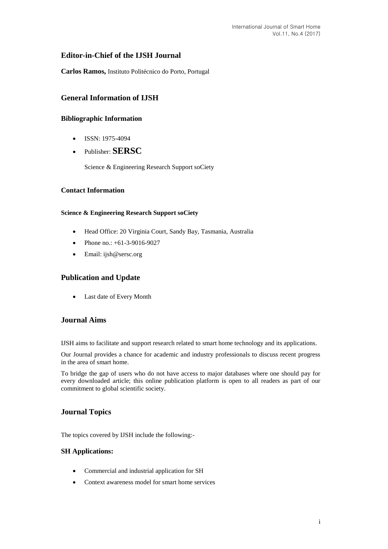# **Editor-in-Chief of the IJSH Journal**

**Carlos Ramos,** Instituto Politécnico do Porto, Portugal

# **General Information of IJSH**

# **Bibliographic Information**

- $\bullet$  ISSN: 1975-4094
- Publisher: **SERSC**

Science & Engineering Research Support soCiety

## **Contact Information**

### **Science & Engineering Research Support soCiety**

- Head Office: 20 Virginia Court, Sandy Bay, Tasmania, Australia
- Phone no.: +61-3-9016-9027
- Email: [ijsh@sersc.org](mailto:ijast@sersc.org)

# **Publication and Update**

Last date of Every Month

# **Journal Aims**

IJSH aims to facilitate and support research related to smart home technology and its applications.

Our Journal provides a chance for academic and industry professionals to discuss recent progress in the area of smart home.

To bridge the gap of users who do not have access to major databases where one should pay for every downloaded article; this online publication platform is open to all readers as part of our commitment to global scientific society.

# **Journal Topics**

The topics covered by IJSH include the following:-

#### **SH Applications:**

- Commercial and industrial application for SH
- Context awareness model for smart home services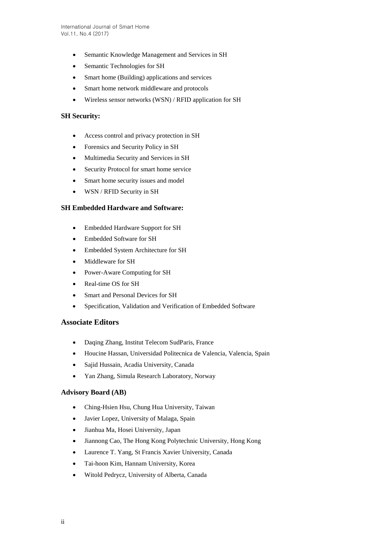- Semantic Knowledge Management and Services in SH
- Semantic Technologies for SH
- Smart home (Building) applications and services
- Smart home network middleware and protocols
- Wireless sensor networks (WSN) / RFID application for SH

### **SH Security:**

- Access control and privacy protection in SH
- Forensics and Security Policy in SH
- Multimedia Security and Services in SH
- Security Protocol for smart home service
- Smart home security issues and model
- WSN / RFID Security in SH

### **SH Embedded Hardware and Software:**

- Embedded Hardware Support for SH
- Embedded Software for SH
- Embedded System Architecture for SH
- Middleware for SH
- Power-Aware Computing for SH
- Real-time OS for SH
- Smart and Personal Devices for SH
- Specification, Validation and Verification of Embedded Software

#### **Associate Editors**

- Daqing Zhang, Institut Telecom SudParis, France
- Houcine Hassan, Universidad Politecnica de Valencia, Valencia, Spain
- Sajid Hussain, Acadia University, Canada
- Yan Zhang, Simula Research Laboratory, Norway

## **Advisory Board (AB)**

- Ching-Hsien Hsu, Chung Hua University, Taiwan
- Javier Lopez, University of Malaga, Spain
- Jianhua Ma, Hosei University, Japan
- Jiannong Cao, The Hong Kong Polytechnic University, Hong Kong
- Laurence T. Yang, St Francis Xavier University, Canada
- Tai-hoon Kim, Hannam University, Korea
- Witold Pedrycz, University of Alberta, Canada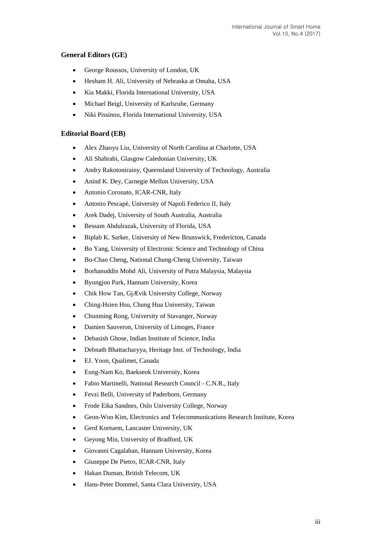# **General Editors (GE)**

- George Roussos, University of London, UK
- Hesham H. Ali, University of Nebraska at Omaha, USA
- Kia Makki, Florida International University, USA
- Michael Beigl, University of Karlsruhe, Germany
- Niki Pissinou, Florida International University, USA

### **Editorial Board (EB)**

- Alex Zhaoyu Liu, University of North Carolina at Charlotte, USA
- Ali Shahrabi, Glasgow Caledonian University, UK
- Andry Rakotonirainy, Queensland University of Technology, Australia
- Anind K. Dey, Carnegie Mellon University, USA
- Antonio Coronato, ICAR-CNR, Italy
- Antonio Pescapè, University of Napoli Federico II, Italy
- Arek Dadej, University of South Australia, Australia
- Bessam Abdulrazak, University of Florida, USA
- Biplab K. Sarker, University of New Brunswick, Fredericton, Canada
- Bo Yang, University of Electronic Science and Technology of China
- Bo-Chao Cheng, National Chung-Cheng University, Taiwan
- Borhanuddin Mohd Ali, University of Putra Malaysia, Malaysia
- Byungjoo Park, Hannam University, Korea
- Chik How Tan, GjÆ vik University College, Norway
- Ching-Hsien Hsu, Chung Hua University, Taiwan
- Chunming Rong, University of Stavanger, Norway
- Damien Sauveron, University of Limoges, France
- Debasish Ghose, Indian Institute of Science, India
- Debnath Bhattacharyya, Heritage Inst. of Technology, India
- EJ. Yoon, Qualimet, Canada
- Eung-Nam Ko, Baekseok University, Korea
- Fabio Martinelli, National Research Council C.N.R., Italy
- Fevzi Belli, University of Paderborn, Germany
- Frode Eika Sandnes, Oslo University College, Norway
- Geon-Woo Kim, Electronics and Telecommunications Research Institute, Korea
- Gerd Kortuem, Lancaster University, UK
- Geyong Min, University of Bradford, UK
- Giovanni Cagalaban, Hannam University, Korea
- Giuseppe De Pietro, ICAR-CNR, Italy
- Hakan Duman, British Telecom, UK
- Hans-Peter Dommel, Santa Clara University, USA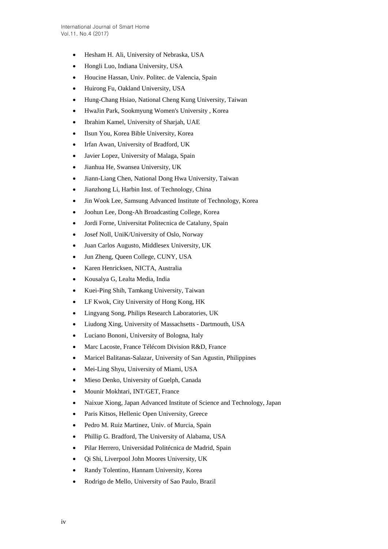- Hesham H. Ali, University of Nebraska, USA
- Hongli Luo, Indiana University, USA
- Houcine Hassan, Univ. Politec. de Valencia, Spain
- Huirong Fu, Oakland University, USA
- Hung-Chang Hsiao, National Cheng Kung University, Taiwan
- HwaJin Park, Sookmyung Women's University , Korea
- Ibrahim Kamel, University of Sharjah, UAE
- Ilsun You, Korea Bible University, Korea
- Irfan Awan, University of Bradford, UK
- Javier Lopez, University of Malaga, Spain
- Jianhua He, Swansea University, UK
- Jiann-Liang Chen, National Dong Hwa University, Taiwan
- Jianzhong Li, Harbin Inst. of Technology, China
- Jin Wook Lee, Samsung Advanced Institute of Technology, Korea
- Joohun Lee, Dong-Ah Broadcasting College, Korea
- Jordi Forne, Universitat Politecnica de Cataluny, Spain
- Josef Noll, UniK/University of Oslo, Norway
- Juan Carlos Augusto, Middlesex University, UK
- Jun Zheng, Queen College, CUNY, USA
- Karen Henricksen, NICTA, Australia
- Kousalya G, Lealta Media, India
- Kuei-Ping Shih, Tamkang University, Taiwan
- LF Kwok, City University of Hong Kong, HK
- Lingyang Song, Philips Research Laboratories, UK
- Liudong Xing, University of Massachsetts Dartmouth, USA
- Luciano Bononi, University of Bologna, Italy
- Marc Lacoste, France Télécom Division R&D, France
- Maricel Balitanas-Salazar, University of San Agustin, Philippines
- Mei-Ling Shyu, University of Miami, USA
- Mieso Denko, University of Guelph, Canada
- Mounir Mokhtari, INT/GET, France
- Naixue Xiong, Japan Advanced Institute of Science and Technology, Japan
- Paris Kitsos, Hellenic Open University, Greece
- Pedro M. Ruiz Martinez, Univ. of Murcia, Spain
- Phillip G. Bradford, The University of Alabama, USA
- Pilar Herrero, Universidad Politécnica de Madrid, Spain
- Qi Shi, Liverpool John Moores University, UK
- Randy Tolentino, Hannam University, Korea
- Rodrigo de Mello, University of Sao Paulo, Brazil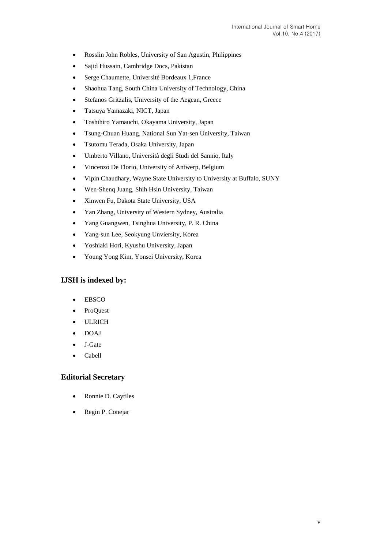- Rosslin John Robles, University of San Agustin, Philippines
- Sajid Hussain, Cambridge Docs, Pakistan
- Serge Chaumette, Université Bordeaux 1,France
- Shaohua Tang, South China University of Technology, China
- Stefanos Gritzalis, University of the Aegean, Greece
- Tatsuya Yamazaki, NICT, Japan
- Toshihiro Yamauchi, Okayama University, Japan
- Tsung-Chuan Huang, National Sun Yat-sen University, Taiwan
- Tsutomu Terada, Osaka University, Japan
- Umberto Villano, Università degli Studi del Sannio, Italy
- Vincenzo De Florio, University of Antwerp, Belgium
- Vipin Chaudhary, Wayne State University to University at Buffalo, SUNY
- Wen-Shenq Juang, Shih Hsin University, Taiwan
- Xinwen Fu, Dakota State University, USA
- Yan Zhang, University of Western Sydney, Australia
- Yang Guangwen, Tsinghua University, P. R. China
- Yang-sun Lee, Seokyung Unviersity, Korea
- Yoshiaki Hori, Kyushu University, Japan
- Young Yong Kim, Yonsei University, Korea

## **IJSH is indexed by:**

- EBSCO
- ProQuest
- ULRICH
- DOAJ
- J-Gate
- Cabell

## **Editorial Secretary**

- Ronnie D. Caytiles
- Regin P. Conejar